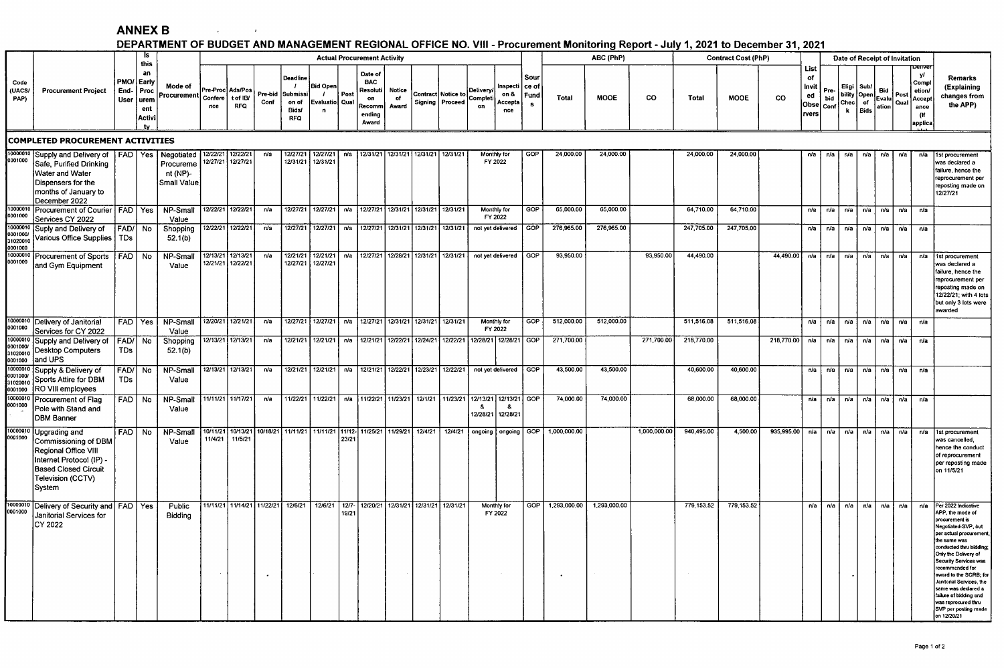## **ANNEX B**

 $\mathcal{L}_{\text{max}}$  and  $\mathcal{L}_{\text{max}}$ 

## DEPARTMENT OF BUDGET AND MANAGEMENT REGIONAL OFFICE NO. VIII - Procurement Monitoring Report - July 1, 2021 to December 31, 2021

|                                                                                                                                                      |                                                                                                                                                                |                          |                                                 |                                      |     |                                            |                 |                                                                 |                                                                                                            |                                                                               |                                                                      |                       |  |                                                             |                            |                                                                               |            | . And wanted we contribute the contribution of the contribution water was also to a contribution of the set |                   |              |                      |             |                                                                                                   |                                                   |                               |                               |                                                |                       |                                           |                                                                   |                                                                                                                                                                                                                                                                                                                                                                                               |
|------------------------------------------------------------------------------------------------------------------------------------------------------|----------------------------------------------------------------------------------------------------------------------------------------------------------------|--------------------------|-------------------------------------------------|--------------------------------------|-----|--------------------------------------------|-----------------|-----------------------------------------------------------------|------------------------------------------------------------------------------------------------------------|-------------------------------------------------------------------------------|----------------------------------------------------------------------|-----------------------|--|-------------------------------------------------------------|----------------------------|-------------------------------------------------------------------------------|------------|-------------------------------------------------------------------------------------------------------------|-------------------|--------------|----------------------|-------------|---------------------------------------------------------------------------------------------------|---------------------------------------------------|-------------------------------|-------------------------------|------------------------------------------------|-----------------------|-------------------------------------------|-------------------------------------------------------------------|-----------------------------------------------------------------------------------------------------------------------------------------------------------------------------------------------------------------------------------------------------------------------------------------------------------------------------------------------------------------------------------------------|
|                                                                                                                                                      | <b>Procurement Project</b>                                                                                                                                     |                          | - IS<br>this                                    |                                      |     |                                            |                 |                                                                 |                                                                                                            | ABC (PhP)<br><b>Actual Procurement Activity</b><br><b>Contract Cost (PhP)</b> |                                                                      |                       |  |                                                             |                            |                                                                               |            |                                                                                                             |                   |              |                      |             |                                                                                                   |                                                   | Date of Receipt of Invitation |                               |                                                |                       |                                           |                                                                   |                                                                                                                                                                                                                                                                                                                                                                                               |
| Code<br>(UACS/<br>PAP)                                                                                                                               |                                                                                                                                                                | End- Proc<br><b>User</b> | an<br>PMO/ Early<br>urem<br>ent<br>Activi<br>tv | Mode of<br>Procurement Confere       | nce | Pre-Proc Ads/Pos<br>t of IB/<br><b>RFQ</b> | Pre-bid<br>Conf | Deadline<br>$\overline{1}$<br>Submissi<br>on of<br>Bids/<br>RFQ | <b>Bid Open</b><br>Evaluatio Qual<br>n                                                                     | Post                                                                          | Date of<br><b>BAC</b><br>Resoluti<br>on<br>Recomm<br>ending<br>Award | Notice<br>of<br>Award |  | Contract Notice to<br>Signing   Proceed                     | Delivery/<br>Complet<br>on | Sour<br>Inspecti  <br>ce of<br>on &<br>Fund<br>Accepta<br>$\mathbf{s}$<br>nce |            | Total                                                                                                       | <b>MOOE</b><br>CO |              | <b>MOOE</b><br>Total |             | <b>CO</b>                                                                                         | <b>List</b><br>of<br>Invit<br>ed<br>Obse<br>rvers | Pre-<br>bid<br>Conf           | Eligi<br>Chec<br>$\mathbf{k}$ | Sub/<br>  bility   Open  <br>of<br><b>Bids</b> | Bid<br>Evalu<br>ation | Post<br>Qual                              | Jenve<br>yl<br>Comp<br>etion.<br>Accept<br>ance<br>(If<br>applica | Remarks<br>(Explaining<br>changes from<br>the APP)                                                                                                                                                                                                                                                                                                                                            |
| <b>COMPLETED PROCUREMENT ACTIVITIES</b><br>Negotiated   12/22/21   12/22/21<br>12/27/21   12/27/21   n/a   12/31/21   12/31/21   12/31/21   12/31/21 |                                                                                                                                                                |                          |                                                 |                                      |     |                                            |                 |                                                                 |                                                                                                            |                                                                               |                                                                      |                       |  |                                                             |                            |                                                                               |            |                                                                                                             |                   |              |                      |             |                                                                                                   |                                                   |                               |                               |                                                |                       |                                           |                                                                   |                                                                                                                                                                                                                                                                                                                                                                                               |
| 0001000                                                                                                                                              | 10000010 Supply and Delivery of FAD   Yes<br>Safe, Purified Drinking<br>Water and Water<br>Dispensers for the<br>months of January to<br>December 2022         |                          |                                                 | Procureme<br>nt (NP)-<br>Small Value |     | 12/27/21 12/27/21                          | n/a             | 12/31/21                                                        | 12/31/21                                                                                                   |                                                                               |                                                                      |                       |  |                                                             |                            | Monthly for<br>FY 2022                                                        | GOP        | 24,000.00                                                                                                   | 24,000.00         |              | 24,000.00            | 24,000.00   |                                                                                                   | n/a                                               | n/a                           | n/a                           | n/a                                            | n/a                   | n/a                                       |                                                                   | 1st procurement<br>was declared a<br>failure, hence the<br>reprocurement per<br>reposting made on<br>12/27/21                                                                                                                                                                                                                                                                                 |
| 0001000                                                                                                                                              | 10000010 Procurement of Courier   FAD   Yes                                                                                                                    |                          |                                                 | NP-Small                             |     | 12/22/21 12/22/21                          | n/a             |                                                                 | 12/27/21 12/27/21   n/a   12/27/21 12/31/21   12/31/21   12/31/21                                          |                                                                               |                                                                      |                       |  |                                                             |                            | Monthly for<br>FY 2022                                                        | GOP        | 65,000.00                                                                                                   | 65,000.00         |              | 64,710.00            | 64,710.00   |                                                                                                   |                                                   |                               |                               |                                                |                       | $n/a$ $n/a$ $n/a$ $n/a$ $n/a$ $n/a$ $n/a$ |                                                                   |                                                                                                                                                                                                                                                                                                                                                                                               |
| 0001000/<br>31020010                                                                                                                                 | Services CY 2022<br>10000010 Suply and Delivery of<br>Various Office Supplies   TDs                                                                            | FAD/ No                  |                                                 | Value<br>Shopping<br>52.1(b)         |     | 12/22/21 12/22/21                          | n/a             |                                                                 | 12/27/21 12/27/21   n/a                                                                                    |                                                                               |                                                                      |                       |  | 12/27/21 12/31/21 12/31/21 12/31/21                         |                            | not yet delivered                                                             | <b>GOP</b> | 276.965.00                                                                                                  | 276,965.00        |              | 247 705.00           | 247,705.00  |                                                                                                   |                                                   | $n/a$ $n/a$                   | n/a                           | ∣n/a                                           |                       | $n/a$ $n/a$                               | n/a                                                               |                                                                                                                                                                                                                                                                                                                                                                                               |
| 0001000                                                                                                                                              | 0001000<br>10000010 Procurement of Sports<br>and Gym Equipment                                                                                                 | FAD No                   |                                                 | NP-Small<br>Value                    |     | 12/13/21 12/13/21<br>12/21/21 12/22/21     | r/a             |                                                                 | 12/21/21 12/21/21   n/a   12/27/21 12/28/21   12/31/21   12/31/21   not yet delivered<br>12/27/21 12/27/21 |                                                                               |                                                                      |                       |  |                                                             |                            |                                                                               | GOP        | 93,950.00                                                                                                   |                   | 93,950.00    | 44,490.00            |             | 44,490.00 $\lfloor n/a \rfloor$ $n/a \rfloor$ $n/a \lfloor n/a \rfloor$ $n/a \lfloor n/a \rfloor$ |                                                   |                               |                               |                                                |                       |                                           |                                                                   | n/a 1st procurement<br>was declared a<br>ailure, hence the<br>eprocurement per<br>reposting made on<br>12/22/21; with 4 lots<br>but only 3 lots were<br>awarded                                                                                                                                                                                                                               |
| 0001000                                                                                                                                              | 10000010 Delivery of Janitorial<br>Services for CY 2022                                                                                                        |                          | FAD Yes                                         | NP-Small<br>Value                    |     | 12/20/21 12/21/21                          | n/a             |                                                                 | 12/27/21 12/27/21   n/a   12/27/21   12/31/21   12/31/21   12/31/21                                        |                                                                               |                                                                      |                       |  |                                                             |                            | Monthly for<br>FY 2022                                                        | GOP        | 512,000.00                                                                                                  | 512,000.00        |              | 511,516.08           | 511,516.08  |                                                                                                   | n/a                                               | n/a                           | n/a                           | n/a                                            | n/a                   | n/a                                       | n/a                                                               |                                                                                                                                                                                                                                                                                                                                                                                               |
| 10000010<br>0001000/<br>31020010<br>0001000                                                                                                          | Supply and Delivery of<br>Desktop Computers<br>and UPS                                                                                                         | FAD/ No<br><b>TDs</b>    |                                                 | Shopping<br>52.1(b)                  |     | 12/13/21 12/13/21                          | n/a             |                                                                 | 12/21/21   12/21/21   n/a   12/21/21   12/22/21   12/24/21   12/22/21   12/28/21   12/28/21   GOP          |                                                                               |                                                                      |                       |  |                                                             |                            |                                                                               |            | 271,700.00                                                                                                  |                   | 271,700.00   | 218,770.00           |             | 218,770.00 $\sqrt{a}$ $\sqrt{a}$ $\sqrt{a}$                                                       |                                                   |                               |                               | ∣n/a I                                         |                       | n/a   n/a i                               | n/a                                                               |                                                                                                                                                                                                                                                                                                                                                                                               |
| 10000010<br>0001000/<br>31020010<br>0001000                                                                                                          | Supply & Delivery of<br>Sports Attire for DBM<br>RO VIII employees                                                                                             | <b>TDs</b>               | FAD/ No                                         | NP-Small<br>Value                    |     | 12/13/21 12/13/21                          | n/a             |                                                                 | 12/21/21   12/21/21   n/a   12/21/21   12/22/21   12/23/21   12/22/21                                      |                                                                               |                                                                      |                       |  |                                                             |                            | not yet delivered GOP                                                         |            | 43,500.00                                                                                                   | 43,500.00         |              | 40,600.00            | 40,600.00   |                                                                                                   |                                                   |                               |                               |                                                |                       | n/a n/a   n/a   n/a   n/a   n/a   n/a     |                                                                   |                                                                                                                                                                                                                                                                                                                                                                                               |
| 10000010<br>0001000                                                                                                                                  | Procurement of Flag<br>Pole with Stand and<br>DBM Banner                                                                                                       | FAD No                   |                                                 | NP-Small<br>Value                    |     | 11/11/21 11/17/21                          | n/a             |                                                                 | 11/22/21 11/22/21   n/a   11/22/21   11/23/21   12/1/21   11/23/21   12/13/21   12/13/21   GOP             |                                                                               |                                                                      |                       |  |                                                             | -8.                        | - 8<br>12/28/21 12/28/21                                                      |            | 74,000.00                                                                                                   | 74,000.00         |              | 68,000.00            | 68,000.00   |                                                                                                   | $nu$ a                                            | n/a                           | n/a                           | n/a                                            | n/a                   | ก⁄a I                                     | n/a                                                               |                                                                                                                                                                                                                                                                                                                                                                                               |
| 10000010<br>0001000                                                                                                                                  | <b>Upgrading and</b><br>Commissioning of DBM<br>Regional Office VIII<br>Internet Protocol (IP) -<br><b>Based Closed Circuit</b><br>Television (CCTV)<br>System | FAD   No                 |                                                 | NP-Small<br>Value                    |     | 11/4/21 11/5/21                            |                 |                                                                 | 10/11/21   10/13/21   10/18/21   11/11/21   11/11/21   11/12-  11/25/21   11/29/21   12/4/21   12/4/21     | 23/21                                                                         |                                                                      |                       |  |                                                             | ongoing                    |                                                                               |            | ongoing   GOP   1,000,000.00                                                                                |                   | 1,000,000.00 | 940.495.00           | 4,500.00    | 935,995.00                                                                                        | $\overline{\mathbf{v}}$                           | $\n  n/a\n$                   |                               | n/a   n/a ∏                                    | n/a                   | n/a                                       | n/a                                                               | 1st procurement<br>was cancelled,<br>hence the conduct<br>of reprocurement<br>per reposting made<br>on 11/5/21                                                                                                                                                                                                                                                                                |
| 10000010<br>0001000                                                                                                                                  | Delivery of Security and FAD   Yes<br>Janitorial Services for<br>ICY 2022                                                                                      |                          |                                                 | Public<br>Bidding                    |     |                                            | $\bullet$       | 11/11/21 11/14/21 11/22/21 12/6/21                              |                                                                                                            | 19/21                                                                         |                                                                      |                       |  | 12/6/21   12/7-   12/20/21   12/31/21   12/31/21   12/31/21 |                            | Monthly for<br>FY 2022                                                        | GOP        | 7,293,000.00                                                                                                | 1,293,000.00      |              | 779, 153.52          | 779, 153.52 |                                                                                                   | n/a                                               | ∣n/a İ                        | n/a                           | n/a                                            | n/a                   | n/a                                       | n/a                                                               | Per 2022 Indicative<br>APP, the mode of<br>procurement is<br>legotiated-SVP, but<br>per actual procurement,<br>the same was<br>conducted thru bidding:<br>Only the Delivery of<br>Security Services was<br>ecommended for<br>award to the SCRB; for<br>Janitorial Services, the<br>same was declared a<br>ailure of bidding and<br>was reprocured thru<br>SVP per posting made<br>on 12/20/21 |